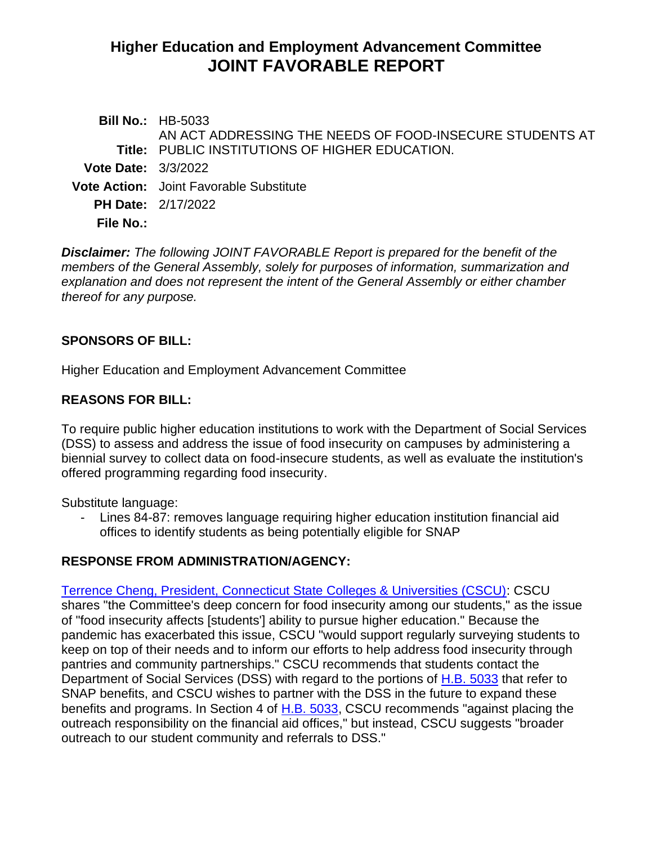# **Higher Education and Employment Advancement Committee JOINT FAVORABLE REPORT**

|                            | <b>Bill No.: HB-5033</b>                                 |
|----------------------------|----------------------------------------------------------|
|                            | AN ACT ADDRESSING THE NEEDS OF FOOD-INSECURE STUDENTS AT |
|                            | Title: PUBLIC INSTITUTIONS OF HIGHER EDUCATION.          |
| <b>Vote Date: 3/3/2022</b> |                                                          |
|                            | <b>Vote Action:</b> Joint Favorable Substitute           |
|                            | <b>PH Date: 2/17/2022</b>                                |
| <b>File No.:</b>           |                                                          |
|                            |                                                          |

*Disclaimer: The following JOINT FAVORABLE Report is prepared for the benefit of the members of the General Assembly, solely for purposes of information, summarization and explanation and does not represent the intent of the General Assembly or either chamber thereof for any purpose.*

### **SPONSORS OF BILL:**

Higher Education and Employment Advancement Committee

### **REASONS FOR BILL:**

To require public higher education institutions to work with the Department of Social Services (DSS) to assess and address the issue of food insecurity on campuses by administering a biennial survey to collect data on food-insecure students, as well as evaluate the institution's offered programming regarding food insecurity.

Substitute language:

- Lines 84-87: removes language requiring higher education institution financial aid offices to identify students as being potentially eligible for SNAP

# **RESPONSE FROM ADMINISTRATION/AGENCY:**

[Terrence Cheng, President, Connecticut State Colleges & Universities \(CSCU\):](https://www.cga.ct.gov/2022/heddata/tmy/2022HB-05033-R000217-Cheng,%20Terrence,%20President-CSCU-TMY.PDF) CSCU shares "the Committee's deep concern for food insecurity among our students," as the issue of "food insecurity affects [students'] ability to pursue higher education." Because the pandemic has exacerbated this issue, CSCU "would support regularly surveying students to keep on top of their needs and to inform our efforts to help address food insecurity through pantries and community partnerships." CSCU recommends that students contact the Department of Social Services (DSS) with regard to the portions of [H.B. 5033](https://www.cga.ct.gov/2022/TOB/H/PDF/2022HB-05033-R00-HB.PDF) that refer to SNAP benefits, and CSCU wishes to partner with the DSS in the future to expand these benefits and programs. In Section 4 of [H.B. 5033,](https://www.cga.ct.gov/2022/TOB/H/PDF/2022HB-05033-R00-HB.PDF) CSCU recommends "against placing the outreach responsibility on the financial aid offices," but instead, CSCU suggests "broader outreach to our student community and referrals to DSS."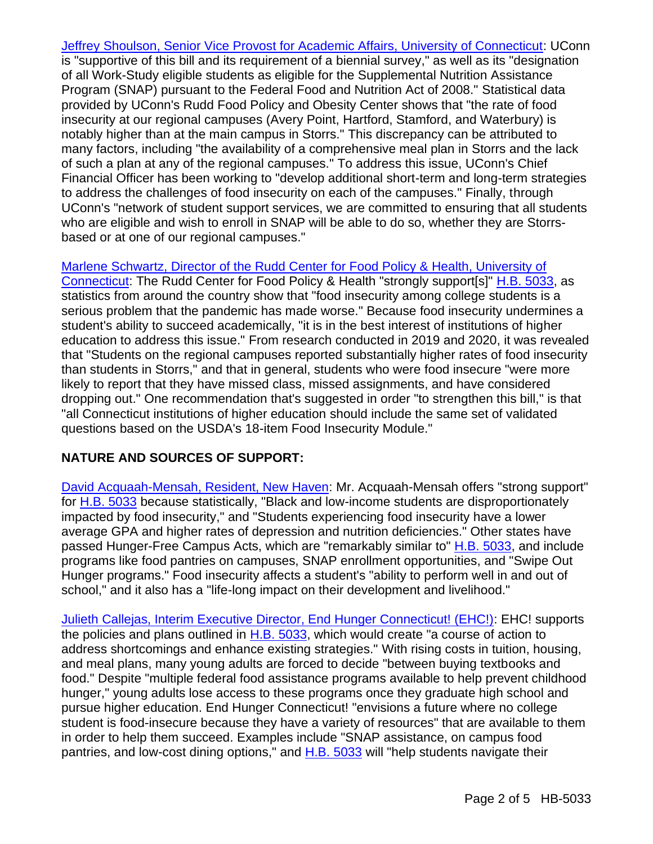[Jeffrey Shoulson, Senior Vice Provost for Academic Affairs, University of Connecticut:](https://www.cga.ct.gov/2022/heddata/tmy/2022HB-05033-R000217-Shoulson,%20Jeffrey,%20Senior%20Vice%20Provost-University%20of%20Connecticut-TMY.PDF) UConn is "supportive of this bill and its requirement of a biennial survey," as well as its "designation of all Work-Study eligible students as eligible for the Supplemental Nutrition Assistance Program (SNAP) pursuant to the Federal Food and Nutrition Act of 2008." Statistical data provided by UConn's Rudd Food Policy and Obesity Center shows that "the rate of food insecurity at our regional campuses (Avery Point, Hartford, Stamford, and Waterbury) is notably higher than at the main campus in Storrs." This discrepancy can be attributed to many factors, including "the availability of a comprehensive meal plan in Storrs and the lack of such a plan at any of the regional campuses." To address this issue, UConn's Chief Financial Officer has been working to "develop additional short-term and long-term strategies to address the challenges of food insecurity on each of the campuses." Finally, through UConn's "network of student support services, we are committed to ensuring that all students who are eligible and wish to enroll in SNAP will be able to do so, whether they are Storrsbased or at one of our regional campuses."

[Marlene Schwartz, Director of the Rudd Center for Food Policy & Health, University of](https://www.cga.ct.gov/2022/heddata/tmy/2022HB-05033-R000217-Schwartz,%20Marlene,%20Director-Rudd%20Center%20for%20Food%20Policy%20-%20Health-TMY.PDF)  [Connecticut:](https://www.cga.ct.gov/2022/heddata/tmy/2022HB-05033-R000217-Schwartz,%20Marlene,%20Director-Rudd%20Center%20for%20Food%20Policy%20-%20Health-TMY.PDF) The Rudd Center for Food Policy & Health "strongly support[s]" [H.B. 5033,](https://www.cga.ct.gov/2022/TOB/H/PDF/2022HB-05033-R00-HB.PDF) as statistics from around the country show that "food insecurity among college students is a serious problem that the pandemic has made worse." Because food insecurity undermines a student's ability to succeed academically, "it is in the best interest of institutions of higher education to address this issue." From research conducted in 2019 and 2020, it was revealed that "Students on the regional campuses reported substantially higher rates of food insecurity than students in Storrs," and that in general, students who were food insecure "were more likely to report that they have missed class, missed assignments, and have considered dropping out." One recommendation that's suggested in order "to strengthen this bill," is that "all Connecticut institutions of higher education should include the same set of validated questions based on the USDA's 18-item Food Insecurity Module."

# **NATURE AND SOURCES OF SUPPORT:**

[David Acquaah-Mensah, Resident, New Haven:](https://www.cga.ct.gov/2022/heddata/tmy/2022HB-05033-R000217-Acquaah-Mensah,%20David-TMY.PDF) Mr. Acquaah-Mensah offers "strong support" for [H.B. 5033](https://www.cga.ct.gov/2022/TOB/H/PDF/2022HB-05033-R00-HB.PDF) because statistically, "Black and low-income students are disproportionately impacted by food insecurity," and "Students experiencing food insecurity have a lower average GPA and higher rates of depression and nutrition deficiencies." Other states have passed Hunger-Free Campus Acts, which are "remarkably similar to" [H.B. 5033,](https://www.cga.ct.gov/2022/TOB/H/PDF/2022HB-05033-R00-HB.PDF) and include programs like food pantries on campuses, SNAP enrollment opportunities, and "Swipe Out Hunger programs." Food insecurity affects a student's "ability to perform well in and out of school," and it also has a "life-long impact on their development and livelihood."

[Julieth Callejas, Interim Executive Director, End Hunger Connecticut! \(EHC!\):](https://www.cga.ct.gov/2022/heddata/tmy/2022HB-05033-R000217-Callejas,%20Julieth,%20Interim%20Executive%20Director-End%20Hunger%20Connecticut--TMY.PDF) EHC! supports the policies and plans outlined in [H.B. 5033,](https://www.cga.ct.gov/2022/TOB/H/PDF/2022HB-05033-R00-HB.PDF) which would create "a course of action to address shortcomings and enhance existing strategies." With rising costs in tuition, housing, and meal plans, many young adults are forced to decide "between buying textbooks and food." Despite "multiple federal food assistance programs available to help prevent childhood hunger," young adults lose access to these programs once they graduate high school and pursue higher education. End Hunger Connecticut! "envisions a future where no college student is food-insecure because they have a variety of resources" that are available to them in order to help them succeed. Examples include "SNAP assistance, on campus food pantries, and low-cost dining options," and [H.B. 5033](https://www.cga.ct.gov/2022/TOB/H/PDF/2022HB-05033-R00-HB.PDF) will "help students navigate their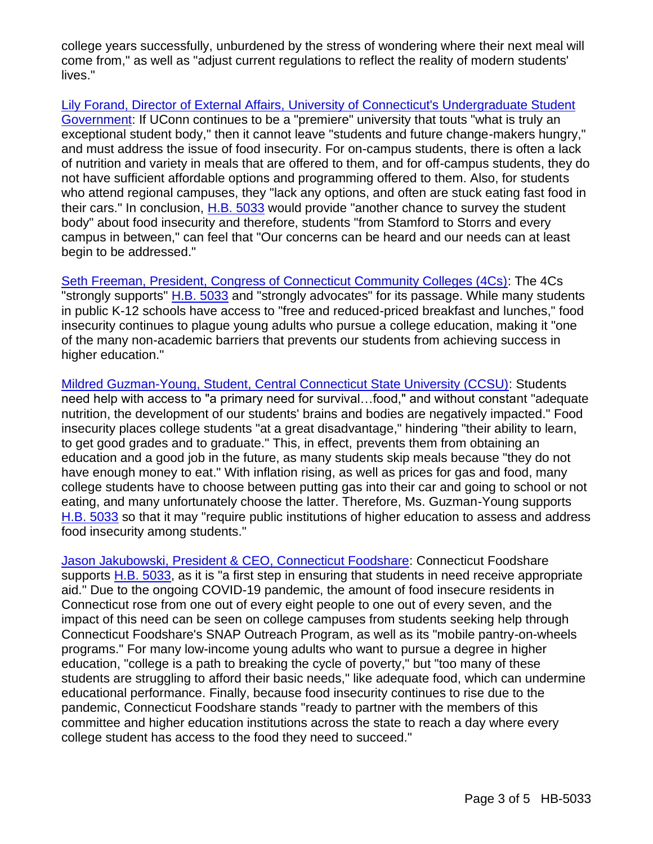college years successfully, unburdened by the stress of wondering where their next meal will come from," as well as "adjust current regulations to reflect the reality of modern students' lives."

Lily Forand, Director of External Affairs, [University of Connecticut's Undergraduate Student](https://www.cga.ct.gov/2022/heddata/tmy/2022HB-05033-R000217-Forand,%20Lily,%20Director%20of%20External%20Affairs-UCONN%20Student%20Government-TMY.PDF)  [Government:](https://www.cga.ct.gov/2022/heddata/tmy/2022HB-05033-R000217-Forand,%20Lily,%20Director%20of%20External%20Affairs-UCONN%20Student%20Government-TMY.PDF) If UConn continues to be a "premiere" university that touts "what is truly an exceptional student body," then it cannot leave "students and future change-makers hungry," and must address the issue of food insecurity. For on-campus students, there is often a lack of nutrition and variety in meals that are offered to them, and for off-campus students, they do not have sufficient affordable options and programming offered to them. Also, for students who attend regional campuses, they "lack any options, and often are stuck eating fast food in their cars." In conclusion, [H.B. 5033](https://www.cga.ct.gov/2022/TOB/H/PDF/2022HB-05033-R00-HB.PDF) would provide "another chance to survey the student body" about food insecurity and therefore, students "from Stamford to Storrs and every campus in between," can feel that "Our concerns can be heard and our needs can at least begin to be addressed."

[Seth Freeman, President, Congress of Connecticut Community Colleges \(4Cs\):](https://www.cga.ct.gov/2022/heddata/tmy/2022HB-05033-R000217-Freeman,%20Seth,%20President-Congress%20of%20CT%20Community%20Colleges-TMY.PDF) The 4Cs "strongly supports" [H.B. 5033](https://www.cga.ct.gov/2022/TOB/H/PDF/2022HB-05033-R00-HB.PDF) and "strongly advocates" for its passage. While many students in public K-12 schools have access to "free and reduced-priced breakfast and lunches," food insecurity continues to plague young adults who pursue a college education, making it "one of the many non-academic barriers that prevents our students from achieving success in higher education."

[Mildred Guzman-Young, Student, Central Connecticut State University \(CCSU\):](https://www.cga.ct.gov/2022/heddata/tmy/2022HB-05033-R000217-Guzman-Young,%20Mildred,%20Student-Central%20Connecticut%20State%20University-TMY.PDF) Students need help with access to "a primary need for survival…food," and without constant "adequate nutrition, the development of our students' brains and bodies are negatively impacted." Food insecurity places college students "at a great disadvantage," hindering "their ability to learn, to get good grades and to graduate." This, in effect, prevents them from obtaining an education and a good job in the future, as many students skip meals because "they do not have enough money to eat." With inflation rising, as well as prices for gas and food, many college students have to choose between putting gas into their car and going to school or not eating, and many unfortunately choose the latter. Therefore, Ms. Guzman-Young supports [H.B. 5033](https://www.cga.ct.gov/2022/TOB/H/PDF/2022HB-05033-R00-HB.PDF) so that it may "require public institutions of higher education to assess and address food insecurity among students."

[Jason Jakubowski, President & CEO, Connecticut Foodshare:](https://www.cga.ct.gov/2022/heddata/tmy/2022HB-05033-R000217-Jakubowski,%20Jason,%20President%20-%20CEO-Connecticut%20Foodshare-TMY.PDF) Connecticut Foodshare supports [H.B. 5033,](https://www.cga.ct.gov/2022/TOB/H/PDF/2022HB-05033-R00-HB.PDF) as it is "a first step in ensuring that students in need receive appropriate aid." Due to the ongoing COVID-19 pandemic, the amount of food insecure residents in Connecticut rose from one out of every eight people to one out of every seven, and the impact of this need can be seen on college campuses from students seeking help through Connecticut Foodshare's SNAP Outreach Program, as well as its "mobile pantry-on-wheels programs." For many low-income young adults who want to pursue a degree in higher education, "college is a path to breaking the cycle of poverty," but "too many of these students are struggling to afford their basic needs," like adequate food, which can undermine educational performance. Finally, because food insecurity continues to rise due to the pandemic, Connecticut Foodshare stands "ready to partner with the members of this committee and higher education institutions across the state to reach a day where every college student has access to the food they need to succeed."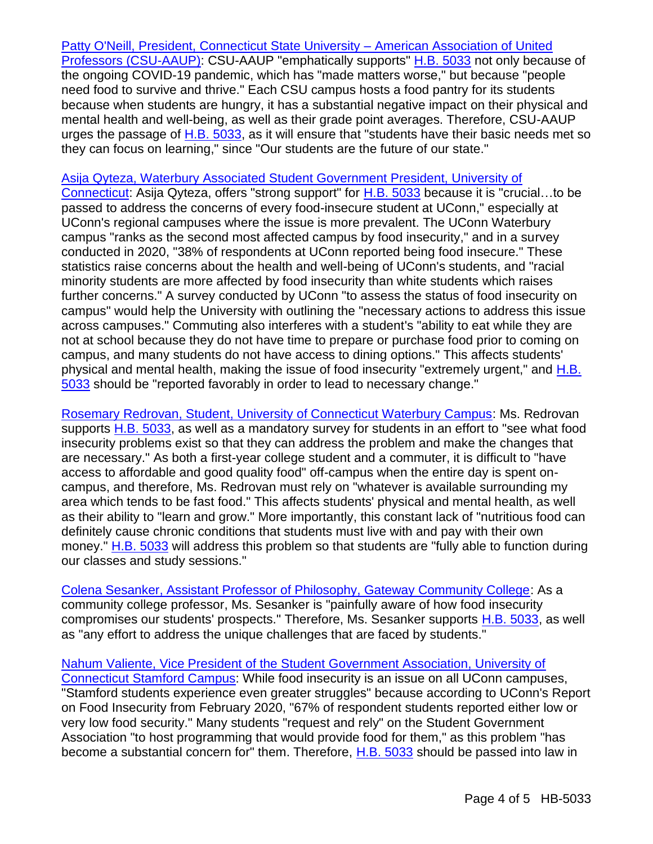[Patty O'Neill, President, Connecticut State University –](https://www.cga.ct.gov/2022/heddata/tmy/2022HB-05033-R000217-O%20Neill,%20Patty,%20President-CSU-AAUP-TMY.PDF) American Association of United [Professors \(CSU-AAUP\):](https://www.cga.ct.gov/2022/heddata/tmy/2022HB-05033-R000217-O%20Neill,%20Patty,%20President-CSU-AAUP-TMY.PDF) CSU-AAUP "emphatically supports" [H.B. 5033](https://www.cga.ct.gov/2022/TOB/H/PDF/2022HB-05033-R00-HB.PDF) not only because of the ongoing COVID-19 pandemic, which has "made matters worse," but because "people need food to survive and thrive." Each CSU campus hosts a food pantry for its students because when students are hungry, it has a substantial negative impact on their physical and mental health and well-being, as well as their grade point averages. Therefore, CSU-AAUP urges the passage of [H.B. 5033,](https://www.cga.ct.gov/2022/TOB/H/PDF/2022HB-05033-R00-HB.PDF) as it will ensure that "students have their basic needs met so they can focus on learning," since "Our students are the future of our state."

#### [Asija Qyteza, Waterbury Associated Student Government President, University of](https://www.cga.ct.gov/2022/heddata/tmy/2022HB-05033-R000217-Qyteza,%20Asija,%20President-Waterbury%20Associated%20Student%20Government-TMY.PDF)

[Connecticut:](https://www.cga.ct.gov/2022/heddata/tmy/2022HB-05033-R000217-Qyteza,%20Asija,%20President-Waterbury%20Associated%20Student%20Government-TMY.PDF) Asija Qyteza, offers "strong support" for [H.B. 5033](https://www.cga.ct.gov/2022/TOB/H/PDF/2022HB-05033-R00-HB.PDF) because it is "crucial…to be passed to address the concerns of every food-insecure student at UConn," especially at UConn's regional campuses where the issue is more prevalent. The UConn Waterbury campus "ranks as the second most affected campus by food insecurity," and in a survey conducted in 2020, "38% of respondents at UConn reported being food insecure." These statistics raise concerns about the health and well-being of UConn's students, and "racial minority students are more affected by food insecurity than white students which raises further concerns." A survey conducted by UConn "to assess the status of food insecurity on campus" would help the University with outlining the "necessary actions to address this issue across campuses." Commuting also interferes with a student's "ability to eat while they are not at school because they do not have time to prepare or purchase food prior to coming on campus, and many students do not have access to dining options." This affects students' physical and mental health, making the issue of food insecurity "extremely urgent," and [H.B.](https://www.cga.ct.gov/2022/TOB/H/PDF/2022HB-05033-R00-HB.PDF)  [5033](https://www.cga.ct.gov/2022/TOB/H/PDF/2022HB-05033-R00-HB.PDF) should be "reported favorably in order to lead to necessary change."

[Rosemary Redrovan, Student, University of Connecticut Waterbury Campus:](https://www.cga.ct.gov/2022/heddata/tmy/2022HB-05033-R000217-Redrovan,%20Rosemary,%20Student-UCONN%20Waterbury%20Campus-TMY.PDF) Ms. Redrovan supports [H.B. 5033,](https://www.cga.ct.gov/2022/TOB/H/PDF/2022HB-05033-R00-HB.PDF) as well as a mandatory survey for students in an effort to "see what food insecurity problems exist so that they can address the problem and make the changes that are necessary." As both a first-year college student and a commuter, it is difficult to "have access to affordable and good quality food" off-campus when the entire day is spent oncampus, and therefore, Ms. Redrovan must rely on "whatever is available surrounding my area which tends to be fast food." This affects students' physical and mental health, as well as their ability to "learn and grow." More importantly, this constant lack of "nutritious food can definitely cause chronic conditions that students must live with and pay with their own money." [H.B. 5033](https://www.cga.ct.gov/2022/TOB/H/PDF/2022HB-05033-R00-HB.PDF) will address this problem so that students are "fully able to function during our classes and study sessions."

[Colena Sesanker, Assistant Professor of Philosophy, Gateway Community College:](https://www.cga.ct.gov/2022/heddata/tmy/2022HB-05033-R000217-Sesanker,%20Colena,%20Professor%20of%20Philosophy-Gateway%20Community%20College-TMY.PDF) As a community college professor, Ms. Sesanker is "painfully aware of how food insecurity compromises our students' prospects." Therefore, Ms. Sesanker supports [H.B. 5033,](https://www.cga.ct.gov/2022/TOB/H/PDF/2022HB-05033-R00-HB.PDF) as well as "any effort to address the unique challenges that are faced by students."

[Nahum Valiente, Vice President of the Student Government Association, University of](https://www.cga.ct.gov/2022/heddata/tmy/2022HB-05033-R000217-Valiente,%20Nahum,%20VP%20at%20UCONN%20Stamford-Student%20Government%20Association-TMY.PDF)  [Connecticut Stamford Campus:](https://www.cga.ct.gov/2022/heddata/tmy/2022HB-05033-R000217-Valiente,%20Nahum,%20VP%20at%20UCONN%20Stamford-Student%20Government%20Association-TMY.PDF) While food insecurity is an issue on all UConn campuses, "Stamford students experience even greater struggles" because according to UConn's Report on Food Insecurity from February 2020, "67% of respondent students reported either low or very low food security." Many students "request and rely" on the Student Government Association "to host programming that would provide food for them," as this problem "has become a substantial concern for" them. Therefore, [H.B. 5033](https://www.cga.ct.gov/2022/TOB/H/PDF/2022HB-05033-R00-HB.PDF) should be passed into law in